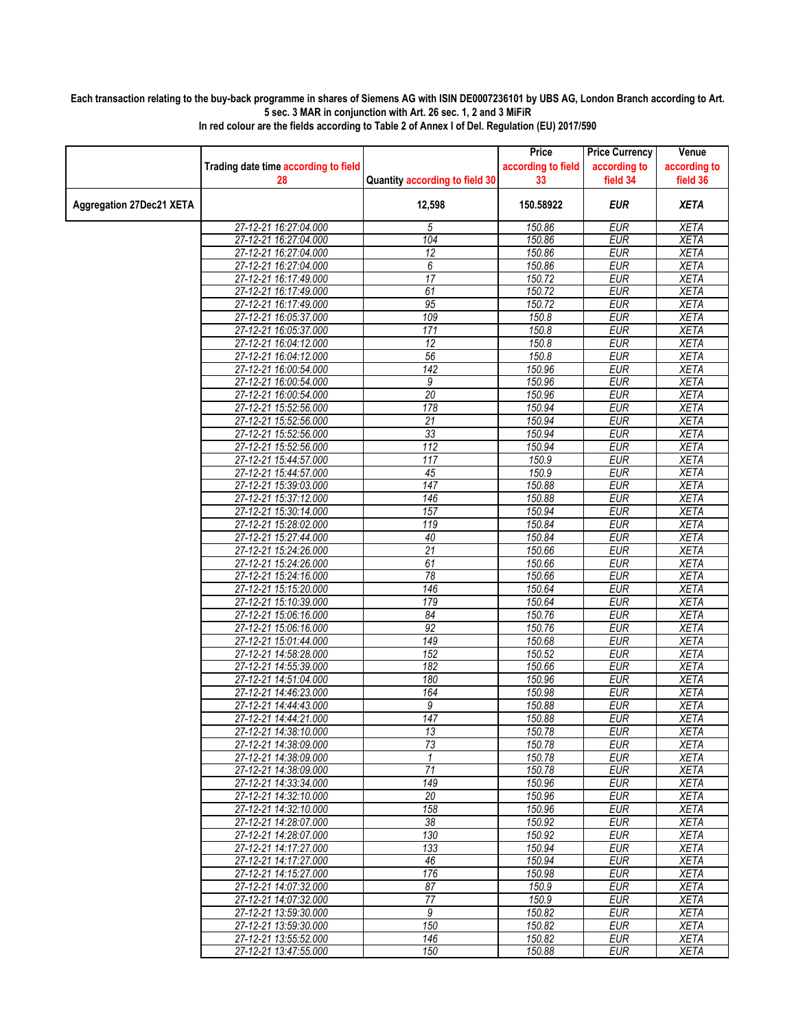## **Each transaction relating to the buy-back programme in shares of Siemens AG with ISIN DE0007236101 by UBS AG, London Branch according to Art. 5 sec. 3 MAR in conjunction with Art. 26 sec. 1, 2 and 3 MiFiR**

|                                 | Trading date time according to field           |                                | Price<br>according to field | <b>Price Currency</b><br>according to | Venue<br>according to      |
|---------------------------------|------------------------------------------------|--------------------------------|-----------------------------|---------------------------------------|----------------------------|
|                                 | 28                                             | Quantity according to field 30 | 33                          | field 34                              | field 36                   |
| <b>Aggregation 27Dec21 XETA</b> |                                                | 12,598                         | 150.58922                   | <b>EUR</b>                            | <b>XETA</b>                |
|                                 | 27-12-21 16:27:04.000                          | 5                              | 150.86                      | <b>EUR</b>                            | <b>XETA</b>                |
|                                 | 27-12-21 16:27:04.000                          | 104                            | 150.86                      | <b>EUR</b>                            | <b>XETA</b>                |
|                                 | 27-12-21 16:27:04.000                          | $\overline{12}$                | 150.86                      | <b>EUR</b>                            | <b>XETA</b>                |
|                                 | 27-12-21 16:27:04.000                          | $\overline{6}$                 | 150.86                      | <b>EUR</b>                            | <b>XETA</b>                |
|                                 | 27-12-21 16:17:49.000                          | $\overline{17}$<br>61          | 150.72                      | <b>EUR</b><br><b>EUR</b>              | <b>XETA</b><br><b>XETA</b> |
|                                 | 27-12-21 16:17:49.000<br>27-12-21 16:17:49.000 | 95                             | 150.72<br>150.72            | <b>EUR</b>                            | <b>XETA</b>                |
|                                 | 27-12-21 16:05:37.000                          | 109                            | 150.8                       | <b>EUR</b>                            | <b>XETA</b>                |
|                                 | 27-12-21 16:05:37.000                          | 171                            | 150.8                       | <b>EUR</b>                            | <b>XETA</b>                |
|                                 | 27-12-21 16:04:12.000                          | 12                             | 150.8                       | <b>EUR</b>                            | <b>XETA</b>                |
|                                 | 27-12-21 16:04:12.000                          | 56                             | 150.8                       | <b>EUR</b>                            | <b>XETA</b>                |
|                                 | 27-12-21 16:00:54.000                          | $\overline{142}$               | 150.96                      | <b>EUR</b>                            | <b>XETA</b>                |
|                                 | 27-12-21 16:00:54.000                          | 9                              | 150.96                      | <b>EUR</b>                            | <b>XETA</b>                |
|                                 | 27-12-21 16:00:54.000                          | 20                             | 150.96                      | <b>EUR</b>                            | <b>XETA</b>                |
|                                 | 27-12-21 15:52:56.000                          | 178                            | 150.94                      | <b>EUR</b>                            | <b>XETA</b>                |
|                                 | 27-12-21 15:52:56.000                          | 21                             | 150.94                      | <b>EUR</b>                            | <b>XETA</b>                |
|                                 | 27-12-21 15:52:56.000                          | 33                             | 150.94                      | <b>EUR</b>                            | <b>XETA</b>                |
|                                 | 27-12-21 15:52:56.000                          | 112                            | 150.94                      | <b>EUR</b>                            | <b>XETA</b>                |
|                                 | 27-12-21 15:44:57.000                          | 117                            | 150.9                       | <b>EUR</b>                            | <b>XETA</b>                |
|                                 | 27-12-21 15:44:57.000                          | 45                             | 150.9                       | <b>EUR</b>                            | <b>XETA</b>                |
|                                 | 27-12-21 15:39:03.000                          | 147                            | 150.88                      | <b>EUR</b>                            | <b>XETA</b>                |
|                                 | 27-12-21 15:37:12.000                          | 146                            | 150.88                      | <b>EUR</b>                            | <b>XETA</b>                |
|                                 | 27-12-21 15:30:14.000                          | 157                            | 150.94                      | <b>EUR</b>                            | <b>XETA</b>                |
|                                 | 27-12-21 15:28:02.000<br>27-12-21 15:27:44.000 | 119<br>40                      | 150.84<br>150.84            | <b>EUR</b><br><b>EUR</b>              | <b>XETA</b><br><b>XETA</b> |
|                                 | 27-12-21 15:24:26.000                          | $\overline{21}$                | 150.66                      | <b>EUR</b>                            | <b>XETA</b>                |
|                                 | 27-12-21 15:24:26.000                          | 61                             | 150.66                      | <b>EUR</b>                            | <b>XETA</b>                |
|                                 | 27-12-21 15:24:16.000                          | 78                             | 150.66                      | <b>EUR</b>                            | <b>XETA</b>                |
|                                 | 27-12-21 15:15:20.000                          | 146                            | 150.64                      | <b>EUR</b>                            | <b>XETA</b>                |
|                                 | 27-12-21 15:10:39.000                          | 179                            | 150.64                      | <b>EUR</b>                            | <b>XETA</b>                |
|                                 | 27-12-21 15:06:16.000                          | 84                             | 150.76                      | <b>EUR</b>                            | <b>XETA</b>                |
|                                 | 27-12-21 15:06:16.000                          | 92                             | 150.76                      | <b>EUR</b>                            | <b>XETA</b>                |
|                                 | 27-12-21 15:01:44.000                          | 149                            | 150.68                      | <b>EUR</b>                            | <b>XETA</b>                |
|                                 | 27-12-21 14:58:28.000                          | 152                            | 150.52                      | <b>EUR</b>                            | <b>XETA</b>                |
|                                 | 27-12-21 14:55:39.000                          | 182                            | 150.66                      | <b>EUR</b>                            | <b>XETA</b>                |
|                                 | 27-12-21 14:51:04.000                          | 180                            | 150.96                      | <b>EUR</b>                            | <b>XETA</b>                |
|                                 | 27-12-21 14:46:23.000                          | 164                            | 150.98                      | <b>EUR</b>                            | <b>XETA</b>                |
|                                 | 27-12-21 14:44:43.000                          | 9                              | 150.88                      | <b>EUR</b>                            | <b>XETA</b>                |
|                                 | 27-12-21 14:44:21.000                          | 147                            | 150.88                      | <b>EUR</b>                            | <b>XETA</b>                |
|                                 | 27-12-21 14:38:10.000                          | 13<br>73                       | 150.78                      | $E\overline{UR}$                      | <b>XETA</b>                |
|                                 | 27-12-21 14:38:09.000<br>27-12-21 14:38:09.000 | $\mathbf{1}$                   | 150.78<br>150.78            | EUR<br><b>EUR</b>                     | <b>XETA</b><br><b>XETA</b> |
|                                 | 27-12-21 14:38:09.000                          | 71                             | 150.78                      | <b>EUR</b>                            | XETA                       |
|                                 | 27-12-21 14:33:34.000                          | 149                            | 150.96                      | <b>EUR</b>                            | <b>XETA</b>                |
|                                 | 27-12-21 14:32:10.000                          | $\overline{20}$                | 150.96                      | <b>EUR</b>                            | <b>XETA</b>                |
|                                 | 27-12-21 14:32:10.000                          | 158                            | 150.96                      | <b>EUR</b>                            | <b>XETA</b>                |
|                                 | 27-12-21 14:28:07.000                          | 38                             | 150.92                      | EUR                                   | <b>XETA</b>                |
|                                 | 27-12-21 14:28:07.000                          | 130                            | 150.92                      | <b>EUR</b>                            | <b>XETA</b>                |
|                                 | 27-12-21 14:17:27.000                          | 133                            | 150.94                      | <b>EUR</b>                            | XETA                       |
|                                 | 27-12-21 14:17:27.000                          | 46                             | 150.94                      | <b>EUR</b>                            | <b>XETA</b>                |
|                                 | 27-12-21 14:15:27.000                          | 176                            | 150.98                      | <b>EUR</b>                            | <b>XETA</b>                |
|                                 | 27-12-21 14:07:32.000                          | 87                             | 150.9                       | <b>EUR</b>                            | XETA                       |
|                                 | 27-12-21 14:07:32.000                          | $\overline{77}$                | 150.9                       | <b>EUR</b>                            | <b>XETA</b>                |
|                                 | 27-12-21 13:59:30.000                          | 9                              | 150.82                      | <b>EUR</b>                            | <b>XETA</b>                |
|                                 | 27-12-21 13:59:30.000                          | 150                            | 150.82                      | EUR                                   | XETA                       |
|                                 | 27-12-21 13:55:52.000                          | 146                            | 150.82                      | <b>EUR</b>                            | <b>XETA</b>                |
|                                 | 27-12-21 13:47:55.000                          | 150                            | 150.88                      | <b>EUR</b>                            | <b>XETA</b>                |

**In red colour are the fields according to Table 2 of Annex I of Del. Regulation (EU) 2017/590**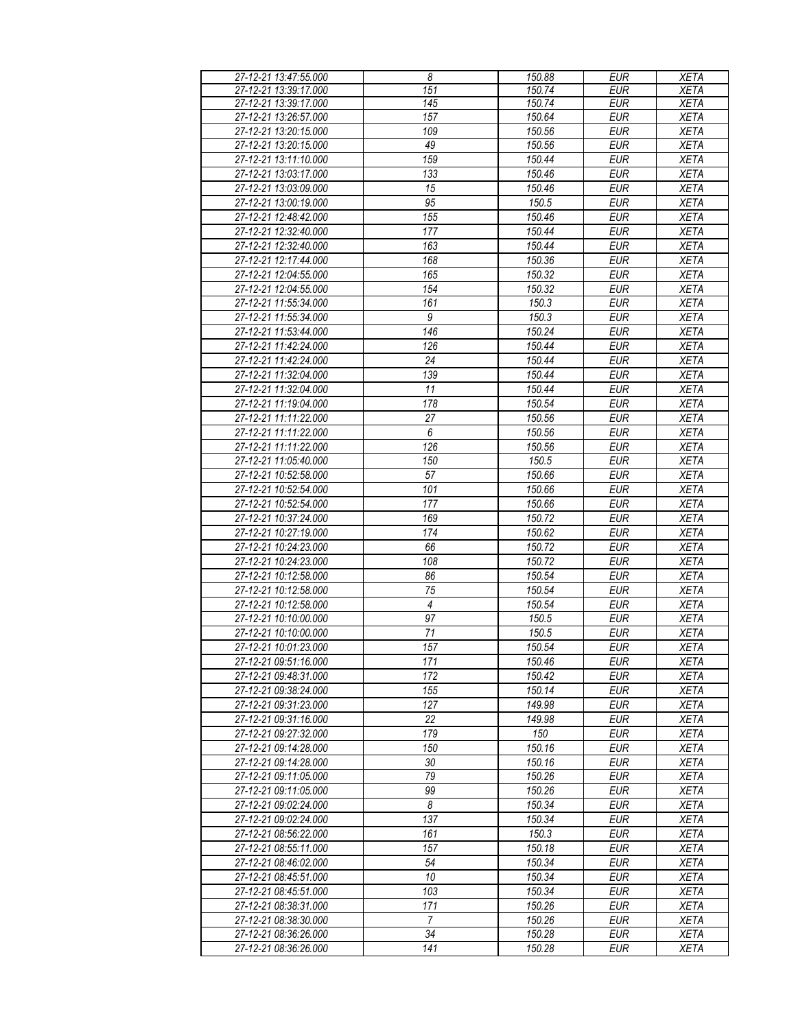| 27-12-21 13:47:55.000 | 8                | 150.88 | <b>EUR</b> | <b>XETA</b> |
|-----------------------|------------------|--------|------------|-------------|
| 27-12-21 13:39:17.000 | 151              | 150.74 | <b>EUR</b> | <b>XETA</b> |
| 27-12-21 13:39:17.000 | 145              | 150.74 | <b>EUR</b> | <b>XETA</b> |
| 27-12-21 13:26:57.000 | 157              | 150.64 | <b>EUR</b> | <b>XETA</b> |
| 27-12-21 13:20:15.000 | 109              | 150.56 | <b>EUR</b> | <b>XETA</b> |
| 27-12-21 13:20:15.000 | 49               | 150.56 | <b>EUR</b> | <b>XETA</b> |
| 27-12-21 13:11:10.000 | 159              | 150.44 | <b>EUR</b> | <b>XETA</b> |
| 27-12-21 13:03:17.000 | 133              | 150.46 | <b>EUR</b> | <b>XETA</b> |
| 27-12-21 13:03:09.000 | 15               | 150.46 | <b>EUR</b> | <b>XETA</b> |
| 27-12-21 13:00:19.000 | 95               | 150.5  | <b>EUR</b> | <b>XETA</b> |
| 27-12-21 12:48:42.000 | 155              | 150.46 | <b>EUR</b> | <b>XETA</b> |
| 27-12-21 12:32:40.000 | 177              | 150.44 | <b>EUR</b> | <b>XETA</b> |
| 27-12-21 12:32:40.000 | 163              | 150.44 | <b>EUR</b> | <b>XETA</b> |
| 27-12-21 12:17:44.000 | 168              | 150.36 | <b>EUR</b> | <b>XETA</b> |
| 27-12-21 12:04:55.000 | 165              | 150.32 | <b>EUR</b> | <b>XETA</b> |
| 27-12-21 12:04:55.000 | 154              | 150.32 | <b>EUR</b> | <b>XETA</b> |
| 27-12-21 11:55:34.000 | 161              | 150.3  | <b>EUR</b> | <b>XETA</b> |
| 27-12-21 11:55:34.000 | 9                | 150.3  | <b>EUR</b> | <b>XETA</b> |
| 27-12-21 11:53:44.000 | 146              | 150.24 | <b>EUR</b> | <b>XETA</b> |
| 27-12-21 11:42:24.000 | 126              | 150.44 | <b>EUR</b> | <b>XETA</b> |
| 27-12-21 11:42:24.000 | 24               | 150.44 | <b>EUR</b> | <b>XETA</b> |
| 27-12-21 11:32:04.000 | 139              | 150.44 | <b>EUR</b> | <b>XETA</b> |
| 27-12-21 11:32:04.000 | 11               | 150.44 | <b>EUR</b> | <b>XETA</b> |
| 27-12-21 11:19:04.000 | 178              | 150.54 | <b>EUR</b> | <b>XETA</b> |
| 27-12-21 11:11:22.000 | 27               | 150.56 | <b>EUR</b> | <b>XETA</b> |
| 27-12-21 11:11:22.000 | $\boldsymbol{6}$ | 150.56 | <b>EUR</b> | <b>XETA</b> |
| 27-12-21 11:11:22.000 | 126              | 150.56 | <b>EUR</b> | <b>XETA</b> |
| 27-12-21 11:05:40.000 | 150              | 150.5  | <b>EUR</b> | <b>XETA</b> |
| 27-12-21 10:52:58.000 | 57               | 150.66 | <b>EUR</b> | <b>XETA</b> |
| 27-12-21 10:52:54.000 | 101              | 150.66 | <b>EUR</b> | <b>XETA</b> |
| 27-12-21 10:52:54.000 | 177              | 150.66 | <b>EUR</b> | <b>XETA</b> |
| 27-12-21 10:37:24.000 | 169              | 150.72 | <b>EUR</b> | <b>XETA</b> |
| 27-12-21 10:27:19.000 | 174              | 150.62 | <b>EUR</b> | <b>XETA</b> |
| 27-12-21 10:24:23.000 | 66               | 150.72 | <b>EUR</b> | <b>XETA</b> |
| 27-12-21 10:24:23.000 | 108              | 150.72 | <b>EUR</b> | <b>XETA</b> |
| 27-12-21 10:12:58.000 | 86               | 150.54 | <b>EUR</b> | <b>XETA</b> |
| 27-12-21 10:12:58.000 | 75               | 150.54 | <b>EUR</b> | <b>XETA</b> |
| 27-12-21 10:12:58.000 | $\overline{4}$   | 150.54 | <b>EUR</b> | <b>XETA</b> |
| 27-12-21 10:10:00.000 | 97               | 150.5  | <b>EUR</b> | <b>XETA</b> |
| 27-12-21 10:10:00.000 | 71               | 150.5  | <b>EUR</b> | <b>XETA</b> |
| 27-12-21 10:01:23.000 | 157              | 150.54 | <b>EUR</b> | <b>XETA</b> |
| 27-12-21 09:51:16.000 | 171              | 150.46 | <b>EUR</b> | <b>XETA</b> |
| 27-12-21 09:48:31.000 | 172              | 150.42 | <b>EUR</b> | <b>XETA</b> |
| 27-12-21 09:38:24.000 | 155              | 150.14 | <b>EUR</b> | <b>XETA</b> |
| 27-12-21 09:31:23.000 | 127              | 149.98 | <b>EUR</b> | <b>XETA</b> |
| 27-12-21 09:31:16.000 | 22               | 149.98 | <b>EUR</b> | <b>XETA</b> |
| 27-12-21 09:27:32.000 | 179              | 150    | <b>EUR</b> | <b>XETA</b> |
| 27-12-21 09:14:28.000 | 150              | 150.16 | <b>EUR</b> | <b>XETA</b> |
| 27-12-21 09:14:28.000 | 30               | 150.16 | <b>EUR</b> | <b>XETA</b> |
| 27-12-21 09:11:05.000 | 79               | 150.26 | <b>EUR</b> | <b>XETA</b> |
| 27-12-21 09:11:05.000 | 99               | 150.26 | <b>EUR</b> | <b>XETA</b> |
| 27-12-21 09:02:24.000 | 8                | 150.34 | <b>EUR</b> | <b>XETA</b> |
| 27-12-21 09:02:24.000 | 137              | 150.34 | <b>EUR</b> | <b>XETA</b> |
| 27-12-21 08:56:22.000 | 161              | 150.3  | <b>EUR</b> | <b>XETA</b> |
| 27-12-21 08:55:11.000 | 157              | 150.18 | <b>EUR</b> | <b>XETA</b> |
| 27-12-21 08:46:02.000 | 54               | 150.34 | <b>EUR</b> | <b>XETA</b> |
| 27-12-21 08:45:51.000 | 10               | 150.34 | <b>EUR</b> | <b>XETA</b> |
| 27-12-21 08:45:51.000 | 103              | 150.34 | <b>EUR</b> | <b>XETA</b> |
| 27-12-21 08:38:31.000 | 171              | 150.26 | <b>EUR</b> | <b>XETA</b> |
| 27-12-21 08:38:30.000 | 7                | 150.26 | <b>EUR</b> | <b>XETA</b> |
| 27-12-21 08:36:26.000 | 34               | 150.28 | <b>EUR</b> | <b>XETA</b> |
| 27-12-21 08:36:26.000 | 141              | 150.28 | <b>EUR</b> | XETA        |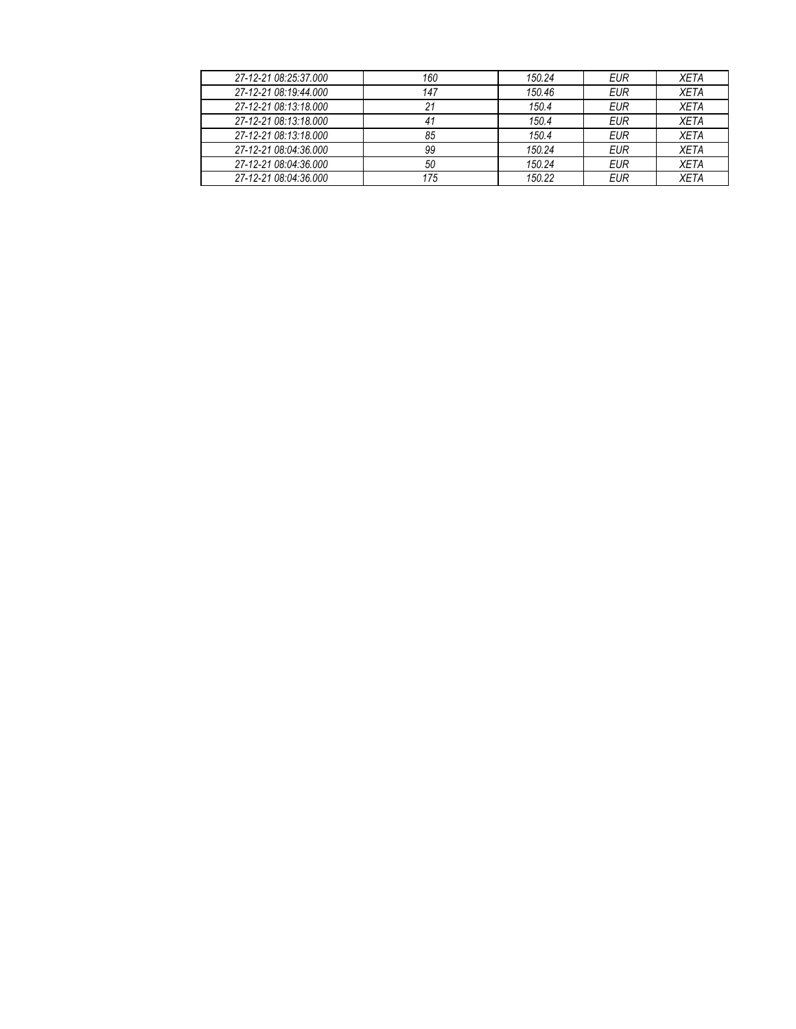| 27-12-21 08:25:37.000 | 160 | 150.24 | EUR        | XETA        |
|-----------------------|-----|--------|------------|-------------|
| 27-12-21 08:19:44.000 | 147 | 150.46 | <b>EUR</b> | <b>XETA</b> |
| 27-12-21 08:13:18.000 | 21  | 150.4  | EUR        | <b>XETA</b> |
| 27-12-21 08:13:18.000 | 41  | 150.4  | <b>EUR</b> | <b>XETA</b> |
| 27-12-21 08:13:18.000 | 85  | 150.4  | EUR        | <b>XETA</b> |
| 27-12-21 08:04:36.000 | 99  | 150.24 | EUR        | <b>XETA</b> |
| 27-12-21 08:04:36.000 | 50  | 150.24 | EUR        | XETA        |
| 27-12-21 08:04:36.000 | 175 | 150.22 | <b>EUR</b> | <b>XETA</b> |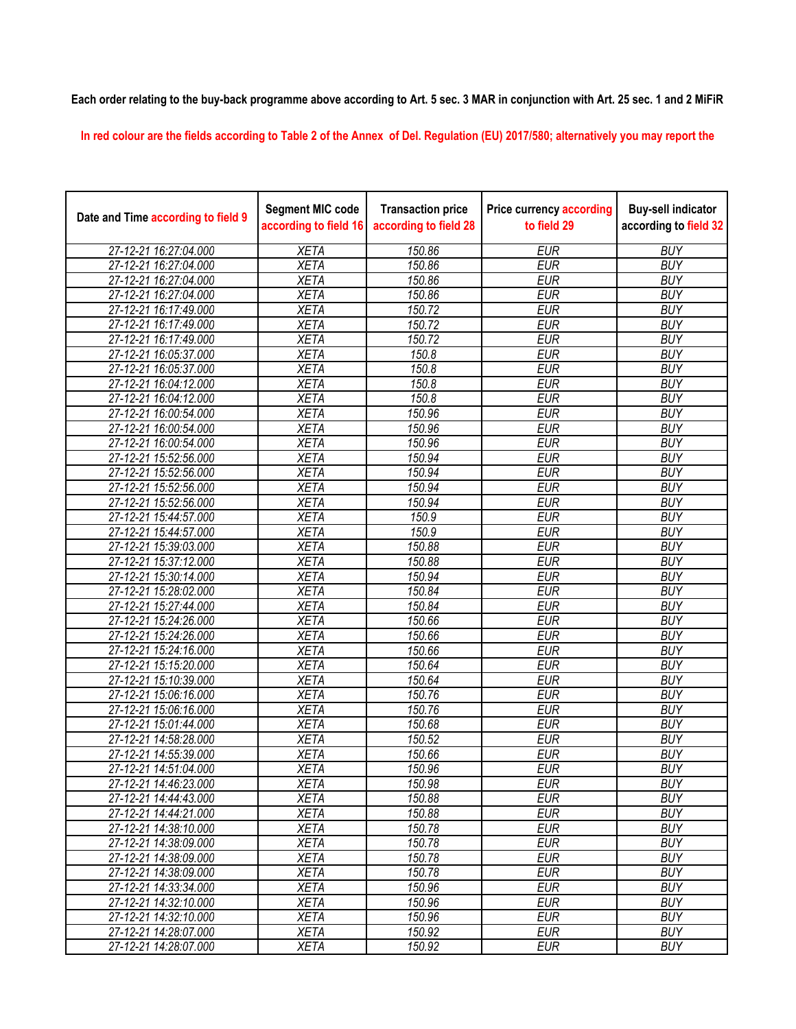## **Each order relating to the buy-back programme above according to Art. 5 sec. 3 MAR in conjunction with Art. 25 sec. 1 and 2 MiFiR**

**In red colour are the fields according to Table 2 of the Annex of Del. Regulation (EU) 2017/580; alternatively you may report the** 

| <b>XETA</b><br>150.86<br><b>EUR</b><br><b>BUY</b><br>27-12-21 16:27:04.000<br>27-12-21 16:27:04.000<br><b>XETA</b><br>150.86<br><b>EUR</b><br><b>BUY</b> |  |
|----------------------------------------------------------------------------------------------------------------------------------------------------------|--|
|                                                                                                                                                          |  |
|                                                                                                                                                          |  |
| 27-12-21 16:27:04.000<br><b>XETA</b><br>150.86<br><b>EUR</b><br><b>BUY</b>                                                                               |  |
| 27-12-21 16:27:04.000<br><b>XETA</b><br>150.86<br><b>EUR</b><br><b>BUY</b>                                                                               |  |
| 27-12-21 16:17:49.000<br><b>XETA</b><br>150.72<br><b>EUR</b><br><b>BUY</b>                                                                               |  |
| 27-12-21 16:17:49.000<br><b>XETA</b><br>150.72<br><b>EUR</b><br><b>BUY</b>                                                                               |  |
| <b>XETA</b><br>150.72<br><b>EUR</b><br><b>BUY</b><br>27-12-21 16:17:49.000                                                                               |  |
| <b>XETA</b><br><b>EUR</b><br><b>BUY</b><br>27-12-21 16:05:37.000<br>150.8                                                                                |  |
| <b>XETA</b><br>150.8<br><b>EUR</b><br><b>BUY</b><br>27-12-21 16:05:37.000                                                                                |  |
| 150.8<br><b>EUR</b><br><b>XETA</b><br><b>BUY</b><br>27-12-21 16:04:12.000                                                                                |  |
| <b>XETA</b><br>150.8<br><b>EUR</b><br>27-12-21 16:04:12.000<br><b>BUY</b>                                                                                |  |
| 27-12-21 16:00:54.000<br><b>XETA</b><br>150.96<br><b>EUR</b><br><b>BUY</b>                                                                               |  |
| 27-12-21 16:00:54.000<br><b>XETA</b><br>150.96<br><b>EUR</b><br><b>BUY</b>                                                                               |  |
| 27-12-21 16:00:54.000<br><b>XETA</b><br>150.96<br><b>EUR</b><br><b>BUY</b>                                                                               |  |
| 27-12-21 15:52:56.000<br><b>XETA</b><br>150.94<br><b>EUR</b><br><b>BUY</b>                                                                               |  |
| <b>XETA</b><br>27-12-21 15:52:56.000<br>150.94<br><b>EUR</b><br><b>BUY</b>                                                                               |  |
| <b>XETA</b><br>150.94<br><b>EUR</b><br><b>BUY</b><br>27-12-21 15:52:56.000                                                                               |  |
| <b>XETA</b><br><b>EUR</b><br><b>BUY</b><br>27-12-21 15:52:56.000<br>150.94                                                                               |  |
| <b>XETA</b><br><b>EUR</b><br>150.9<br><b>BUY</b><br>27-12-21 15:44:57.000                                                                                |  |
| <b>XETA</b><br>150.9<br><b>EUR</b><br><b>BUY</b><br>27-12-21 15:44:57.000                                                                                |  |
| <b>XETA</b><br>150.88<br><b>EUR</b><br><b>BUY</b><br>27-12-21 15:39:03.000                                                                               |  |
| <b>EUR</b><br><b>BUY</b><br>27-12-21 15:37:12.000<br><b>XETA</b><br>150.88                                                                               |  |
| 27-12-21 15:30:14.000<br><b>XETA</b><br>150.94<br><b>EUR</b><br><b>BUY</b>                                                                               |  |
| <b>XETA</b><br>150.84<br><b>EUR</b><br><b>BUY</b><br>27-12-21 15:28:02.000                                                                               |  |
| 27-12-21 15:27:44.000<br><b>XETA</b><br>150.84<br><b>EUR</b><br><b>BUY</b>                                                                               |  |
| 27-12-21 15:24:26.000<br><b>XETA</b><br>150.66<br><b>EUR</b><br><b>BUY</b>                                                                               |  |
| <b>XETA</b><br>150.66<br><b>EUR</b><br><b>BUY</b><br>27-12-21 15:24:26.000                                                                               |  |
| <b>XETA</b><br><b>EUR</b><br><b>BUY</b><br>27-12-21 15:24:16.000<br>150.66                                                                               |  |
| <b>XETA</b><br><b>EUR</b><br>150.64<br><b>BUY</b><br>27-12-21 15:15:20.000                                                                               |  |
| <b>XETA</b><br><b>EUR</b><br><b>BUY</b><br>27-12-21 15:10:39.000<br>150.64                                                                               |  |
| 27-12-21 15:06:16.000<br><b>XETA</b><br><b>EUR</b><br>150.76<br><b>BUY</b>                                                                               |  |
| 27-12-21 15:06:16.000<br>150.76<br><b>XETA</b><br><b>EUR</b><br><b>BUY</b>                                                                               |  |
| 27-12-21 15:01:44.000<br><b>XETA</b><br>150.68<br><b>EUR</b><br><b>BUY</b>                                                                               |  |
| 150.52<br>27-12-21 14:58:28.000<br><b>XETA</b><br><b>EUR</b><br><b>BUY</b>                                                                               |  |
| <b>XETA</b><br>150.66<br><b>EUR</b><br><b>BUY</b><br>27-12-21 14:55:39.000                                                                               |  |
| 27-12-21 14:51:04.000<br>150.96<br><b>EUR</b><br><b>BUY</b><br><b>XETA</b>                                                                               |  |
| <b>BUY</b><br>27-12-21 14:46:23.000<br>XETA<br>150.98<br>EUR                                                                                             |  |
| <b>XETA</b><br><b>EUR</b><br><b>BUY</b><br>27-12-21 14:44:43.000<br>150.88                                                                               |  |
| <b>XETA</b><br><b>EUR</b><br><b>BUY</b><br>150.88<br>27-12-21 14:44:21.000                                                                               |  |
| <b>EUR</b><br><b>BUY</b><br><b>XETA</b><br>150.78<br>27-12-21 14:38:10.000                                                                               |  |
| 27-12-21 14:38:09.000<br><b>XETA</b><br>150.78<br><b>EUR</b><br><b>BUY</b>                                                                               |  |
| 150.78<br>27-12-21 14:38:09.000<br><b>XETA</b><br><b>EUR</b><br><b>BUY</b>                                                                               |  |
| 27-12-21 14:38:09.000<br>150.78<br><b>EUR</b><br><b>BUY</b><br><b>XETA</b>                                                                               |  |
| 27-12-21 14:33:34.000<br>150.96<br><b>EUR</b><br><b>BUY</b><br><b>XETA</b>                                                                               |  |
| 150.96<br><b>EUR</b><br><b>BUY</b><br>27-12-21 14:32:10.000<br><b>XETA</b><br>150.96                                                                     |  |
| 27-12-21 14:32:10.000<br><b>XETA</b><br><b>EUR</b><br><b>BUY</b><br>150.92<br>27-12-21 14:28:07.000<br><b>XETA</b><br><b>EUR</b><br><b>BUY</b>           |  |
| <b>EUR</b><br>27-12-21 14:28:07.000<br><b>XETA</b><br>150.92<br><b>BUY</b>                                                                               |  |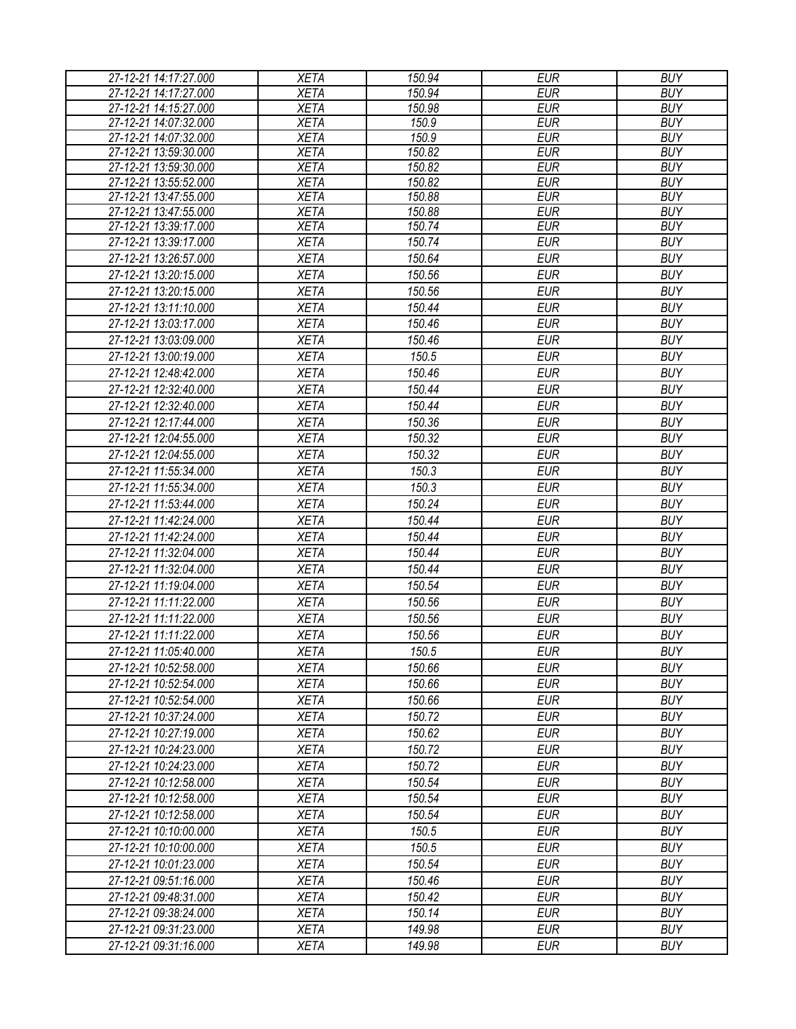| 27-12-21 14:17:27.000                          | <b>XETA</b>                | 150.94           | <b>EUR</b>               | <b>BUY</b>               |
|------------------------------------------------|----------------------------|------------------|--------------------------|--------------------------|
| 27-12-21 14:17:27.000                          | <b>XETA</b>                | 150.94           | <b>EUR</b>               | <b>BUY</b>               |
| 27-12-21 14:15:27.000                          | <b>XETA</b>                | 150.98           | <b>EUR</b>               | <b>BUY</b>               |
| 27-12-21 14:07:32.000                          | <b>XETA</b>                | 150.9            | <b>EUR</b>               | <b>BUY</b>               |
| 27-12-21 14:07:32.000                          | <b>XETA</b>                | 150.9            | <b>EUR</b>               | <b>BUY</b>               |
| 27-12-21 13:59:30.000                          | <b>XETA</b>                | 150.82           | <b>EUR</b>               | <b>BUY</b>               |
| 27-12-21 13:59:30.000                          | <b>XETA</b>                | 150.82           | <b>EUR</b>               | <b>BUY</b>               |
| 27-12-21 13:55:52.000                          | <b>XETA</b>                | 150.82           | <b>EUR</b>               | <b>BUY</b>               |
| 27-12-21 13:47:55.000                          | <b>XETA</b><br><b>XETA</b> | 150.88<br>150.88 | <b>EUR</b><br><b>EUR</b> | <b>BUY</b><br><b>BUY</b> |
| 27-12-21 13:47:55.000<br>27-12-21 13:39:17.000 | <b>XETA</b>                | 150.74           | <b>EUR</b>               | <b>BUY</b>               |
| 27-12-21 13:39:17.000                          | <b>XETA</b>                | 150.74           | <b>EUR</b>               | <b>BUY</b>               |
| 27-12-21 13:26:57.000                          | <b>XETA</b>                | 150.64           | <b>EUR</b>               | <b>BUY</b>               |
| 27-12-21 13:20:15.000                          | <b>XETA</b>                | 150.56           | <b>EUR</b>               | <b>BUY</b>               |
| 27-12-21 13:20:15.000                          | <b>XETA</b>                | 150.56           | <b>EUR</b>               | <b>BUY</b>               |
|                                                |                            |                  |                          | <b>BUY</b>               |
| 27-12-21 13:11:10.000                          | <b>XETA</b>                | 150.44           | <b>EUR</b>               |                          |
| 27-12-21 13:03:17.000                          | <b>XETA</b>                | 150.46           | <b>EUR</b>               | <b>BUY</b>               |
| 27-12-21 13:03:09.000                          | <b>XETA</b>                | 150.46           | <b>EUR</b>               | <b>BUY</b>               |
| 27-12-21 13:00:19.000                          | <b>XETA</b>                | 150.5            | <b>EUR</b>               | <b>BUY</b>               |
| 27-12-21 12:48:42.000                          | <b>XETA</b>                | 150.46           | <b>EUR</b>               | <b>BUY</b>               |
| 27-12-21 12:32:40.000                          | <b>XETA</b>                | 150.44           | <b>EUR</b>               | <b>BUY</b>               |
| 27-12-21 12:32:40.000                          | <b>XETA</b>                | 150.44           | <b>EUR</b>               | <b>BUY</b>               |
| 27-12-21 12:17:44.000                          | <b>XETA</b>                | 150.36           | <b>EUR</b>               | <b>BUY</b>               |
| 27-12-21 12:04:55.000                          | <b>XETA</b>                | 150.32           | <b>EUR</b>               | <b>BUY</b>               |
| 27-12-21 12:04:55.000                          | <b>XETA</b>                | 150.32           | <b>EUR</b>               | <b>BUY</b>               |
| 27-12-21 11:55:34.000                          | <b>XETA</b>                | 150.3            | <b>EUR</b>               | <b>BUY</b>               |
| 27-12-21 11:55:34.000                          | <b>XETA</b>                | 150.3            | <b>EUR</b>               | <b>BUY</b>               |
| 27-12-21 11:53:44.000                          | <b>XETA</b>                | 150.24           | <b>EUR</b>               | <b>BUY</b>               |
| 27-12-21 11:42:24.000                          | <b>XETA</b>                | 150.44           | <b>EUR</b>               | <b>BUY</b>               |
| 27-12-21 11:42:24.000                          | <b>XETA</b>                | 150.44           | <b>EUR</b>               | <b>BUY</b>               |
| 27-12-21 11:32:04.000                          | <b>XETA</b>                | 150.44           | <b>EUR</b>               | <b>BUY</b>               |
| 27-12-21 11:32:04.000                          | <b>XETA</b>                | 150.44           | <b>EUR</b>               | <b>BUY</b>               |
| 27-12-21 11:19:04.000                          | <b>XETA</b>                | 150.54           | <b>EUR</b>               | <b>BUY</b>               |
| 27-12-21 11:11:22.000                          | <b>XETA</b>                | 150.56           | <b>EUR</b>               | <b>BUY</b>               |
| 27-12-21 11:11:22.000                          | <b>XETA</b>                | 150.56           | <b>EUR</b>               | <b>BUY</b>               |
| 27-12-21 11:11:22.000                          | <b>XETA</b>                | 150.56           | <b>EUR</b>               | <b>BUY</b>               |
| 27-12-21 11:05:40.000                          | <b>XETA</b>                | 150.5            | <b>EUR</b>               | <b>BUY</b>               |
| 27-12-21 10:52:58.000                          | <b>XETA</b>                | 150.66           | EUR                      | <b>BUY</b>               |
| 27-12-21 10:52:54.000                          | <b>XETA</b>                | 150.66           | <b>EUR</b>               | <b>BUY</b>               |
| 27-12-21 10:52:54.000                          | <b>XETA</b>                | 150.66           | <b>EUR</b>               | <b>BUY</b>               |
| 27-12-21 10:37:24.000                          | <b>XETA</b>                | 150.72           | <b>EUR</b>               | <b>BUY</b>               |
| 27-12-21 10:27:19.000                          | <b>XETA</b>                | 150.62           | <b>EUR</b>               | <b>BUY</b>               |
| 27-12-21 10:24:23.000                          | <b>XETA</b>                | 150.72           | <b>EUR</b>               | <b>BUY</b>               |
| 27-12-21 10:24:23.000                          | <b>XETA</b>                | 150.72           | <b>EUR</b>               | <b>BUY</b>               |
| 27-12-21 10:12:58.000                          | <b>XETA</b>                | 150.54           | <b>EUR</b>               | <b>BUY</b>               |
| 27-12-21 10:12:58.000                          | <b>XETA</b>                | 150.54           | <b>EUR</b>               | <b>BUY</b>               |
| 27-12-21 10:12:58.000                          | <b>XETA</b>                | 150.54           | <b>EUR</b>               | <b>BUY</b>               |
| 27-12-21 10:10:00.000                          | <b>XETA</b>                | 150.5            | <b>EUR</b>               | <b>BUY</b>               |
| 27-12-21 10:10:00.000                          | <b>XETA</b>                | 150.5            | <b>EUR</b>               | <b>BUY</b>               |
| 27-12-21 10:01:23.000                          | <b>XETA</b>                | 150.54           | <b>EUR</b>               | <b>BUY</b>               |
|                                                |                            |                  |                          |                          |
| 27-12-21 09:51:16.000                          | <b>XETA</b>                | 150.46           | <b>EUR</b>               | <b>BUY</b>               |
| 27-12-21 09:48:31.000                          | <b>XETA</b>                | 150.42           | <b>EUR</b>               | <b>BUY</b>               |
| 27-12-21 09:38:24.000                          | <b>XETA</b>                | 150.14           | <b>EUR</b>               | <b>BUY</b>               |
| 27-12-21 09:31:23.000                          | <b>XETA</b>                | 149.98           | EUR                      | <b>BUY</b>               |
| 27-12-21 09:31:16.000                          | <b>XETA</b>                | 149.98           | <b>EUR</b>               | <b>BUY</b>               |